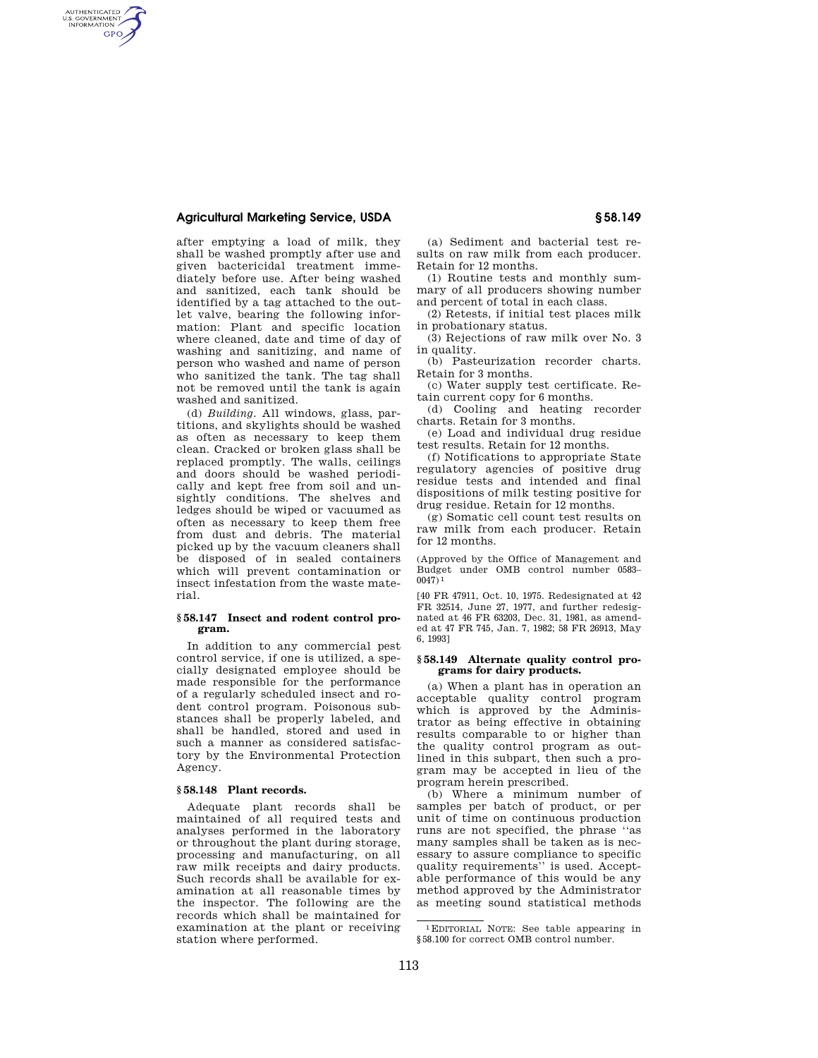## **Agricultural Marketing Service, USDA § 58.149**

AUTHENTICATED<br>U.S. GOVERNMENT<br>INFORMATION **GPO** 

> after emptying a load of milk, they shall be washed promptly after use and given bactericidal treatment immediately before use. After being washed and sanitized, each tank should be identified by a tag attached to the outlet valve, bearing the following information: Plant and specific location where cleaned, date and time of day of washing and sanitizing, and name of person who washed and name of person who sanitized the tank. The tag shall not be removed until the tank is again washed and sanitized.

> (d) *Building.* All windows, glass, partitions, and skylights should be washed as often as necessary to keep them clean. Cracked or broken glass shall be replaced promptly. The walls, ceilings and doors should be washed periodically and kept free from soil and unsightly conditions. The shelves and ledges should be wiped or vacuumed as often as necessary to keep them free from dust and debris. The material picked up by the vacuum cleaners shall be disposed of in sealed containers which will prevent contamination or insect infestation from the waste material.

#### **§ 58.147 Insect and rodent control program.**

In addition to any commercial pest control service, if one is utilized, a specially designated employee should be made responsible for the performance of a regularly scheduled insect and rodent control program. Poisonous substances shall be properly labeled, and shall be handled, stored and used in such a manner as considered satisfactory by the Environmental Protection Agency.

## **§ 58.148 Plant records.**

Adequate plant records shall be maintained of all required tests and analyses performed in the laboratory or throughout the plant during storage, processing and manufacturing, on all raw milk receipts and dairy products. Such records shall be available for examination at all reasonable times by the inspector. The following are the records which shall be maintained for examination at the plant or receiving station where performed.

(a) Sediment and bacterial test results on raw milk from each producer. Retain for 12 months.

(1) Routine tests and monthly summary of all producers showing number and percent of total in each class.

(2) Retests, if initial test places milk in probationary status.

(3) Rejections of raw milk over No. 3 in quality.

(b) Pasteurization recorder charts. Retain for 3 months.

(c) Water supply test certificate. Retain current copy for 6 months.

(d) Cooling and heating recorder charts. Retain for 3 months.

(e) Load and individual drug residue test results. Retain for 12 months.

(f) Notifications to appropriate State regulatory agencies of positive drug residue tests and intended and final dispositions of milk testing positive for drug residue. Retain for 12 months.

(g) Somatic cell count test results on raw milk from each producer. Retain for 12 months.

(Approved by the Office of Management and Budget under OMB control number 0583–  $0047$ )<sup>1</sup>

[40 FR 47911, Oct. 10, 1975. Redesignated at 42 FR 32514, June 27, 1977, and further redesignated at 46 FR 63203, Dec. 31, 1981, as amended at 47 FR 745, Jan. 7, 1982; 58 FR 26913, May 6, 1993]

#### **§ 58.149 Alternate quality control programs for dairy products.**

(a) When a plant has in operation an acceptable quality control program which is approved by the Administrator as being effective in obtaining results comparable to or higher than the quality control program as outlined in this subpart, then such a program may be accepted in lieu of the program herein prescribed.

(b) Where a minimum number of samples per batch of product, or per unit of time on continuous production runs are not specified, the phrase ''as many samples shall be taken as is necessary to assure compliance to specific quality requirements'' is used. Acceptable performance of this would be any method approved by the Administrator as meeting sound statistical methods

<sup>1</sup>EDITORIAL NOTE: See table appearing in §58.100 for correct OMB control number.